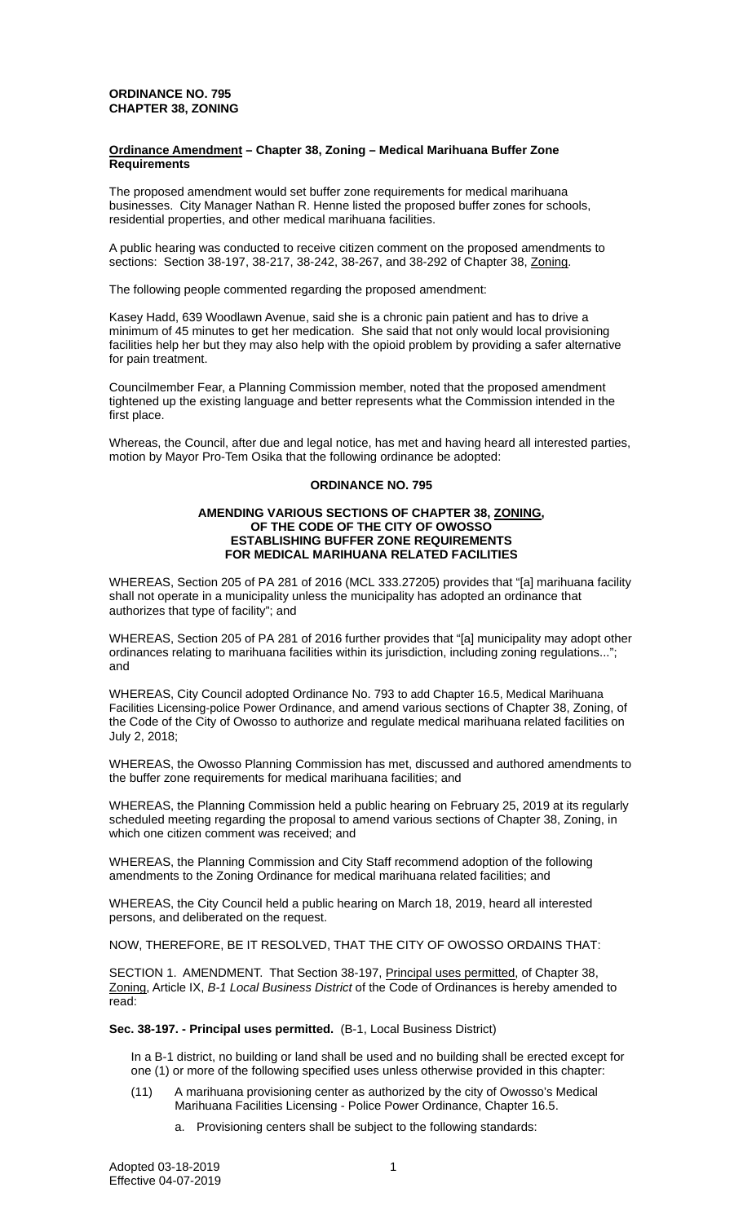# **ORDINANCE NO. 795 CHAPTER 38, ZONING**

### **Ordinance Amendment – Chapter 38, Zoning – Medical Marihuana Buffer Zone Requirements**

The proposed amendment would set buffer zone requirements for medical marihuana businesses. City Manager Nathan R. Henne listed the proposed buffer zones for schools, residential properties, and other medical marihuana facilities.

A public hearing was conducted to receive citizen comment on the proposed amendments to sections: Section 38-197, 38-217, 38-242, 38-267, and 38-292 of Chapter 38, Zoning.

The following people commented regarding the proposed amendment:

Kasey Hadd, 639 Woodlawn Avenue, said she is a chronic pain patient and has to drive a minimum of 45 minutes to get her medication. She said that not only would local provisioning facilities help her but they may also help with the opioid problem by providing a safer alternative for pain treatment.

Councilmember Fear, a Planning Commission member, noted that the proposed amendment tightened up the existing language and better represents what the Commission intended in the first place.

Whereas, the Council, after due and legal notice, has met and having heard all interested parties, motion by Mayor Pro-Tem Osika that the following ordinance be adopted:

#### **ORDINANCE NO. 795**

### **AMENDING VARIOUS SECTIONS OF CHAPTER 38, ZONING, OF THE CODE OF THE CITY OF OWOSSO ESTABLISHING BUFFER ZONE REQUIREMENTS FOR MEDICAL MARIHUANA RELATED FACILITIES**

WHEREAS, Section 205 of PA 281 of 2016 (MCL 333.27205) provides that "[a] marihuana facility shall not operate in a municipality unless the municipality has adopted an ordinance that authorizes that type of facility"; and

WHEREAS, Section 205 of PA 281 of 2016 further provides that "[a] municipality may adopt other ordinances relating to marihuana facilities within its jurisdiction, including zoning regulations..."; and

WHEREAS, City Council adopted Ordinance No. 793 to add Chapter 16.5, Medical Marihuana Facilities Licensing-police Power Ordinance, and amend various sections of Chapter 38, Zoning, of the Code of the City of Owosso to authorize and regulate medical marihuana related facilities on July 2, 2018;

WHEREAS, the Owosso Planning Commission has met, discussed and authored amendments to the buffer zone requirements for medical marihuana facilities; and

WHEREAS, the Planning Commission held a public hearing on February 25, 2019 at its regularly scheduled meeting regarding the proposal to amend various sections of Chapter 38, Zoning, in which one citizen comment was received; and

WHEREAS, the Planning Commission and City Staff recommend adoption of the following amendments to the Zoning Ordinance for medical marihuana related facilities; and

WHEREAS, the City Council held a public hearing on March 18, 2019, heard all interested persons, and deliberated on the request.

NOW, THEREFORE, BE IT RESOLVED, THAT THE CITY OF OWOSSO ORDAINS THAT:

SECTION 1. AMENDMENT. That Section 38-197, Principal uses permitted, of Chapter 38, Zoning, Article IX, *B-1 Local Business District* of the Code of Ordinances is hereby amended to read:

**Sec. 38-197. - Principal uses permitted.** (B-1, Local Business District)

In a B-1 district, no building or land shall be used and no building shall be erected except for one (1) or more of the following specified uses unless otherwise provided in this chapter:

- (11) A marihuana provisioning center as authorized by the city of Owosso's Medical Marihuana Facilities Licensing - Police Power Ordinance, Chapter 16.5.
	- a. Provisioning centers shall be subject to the following standards: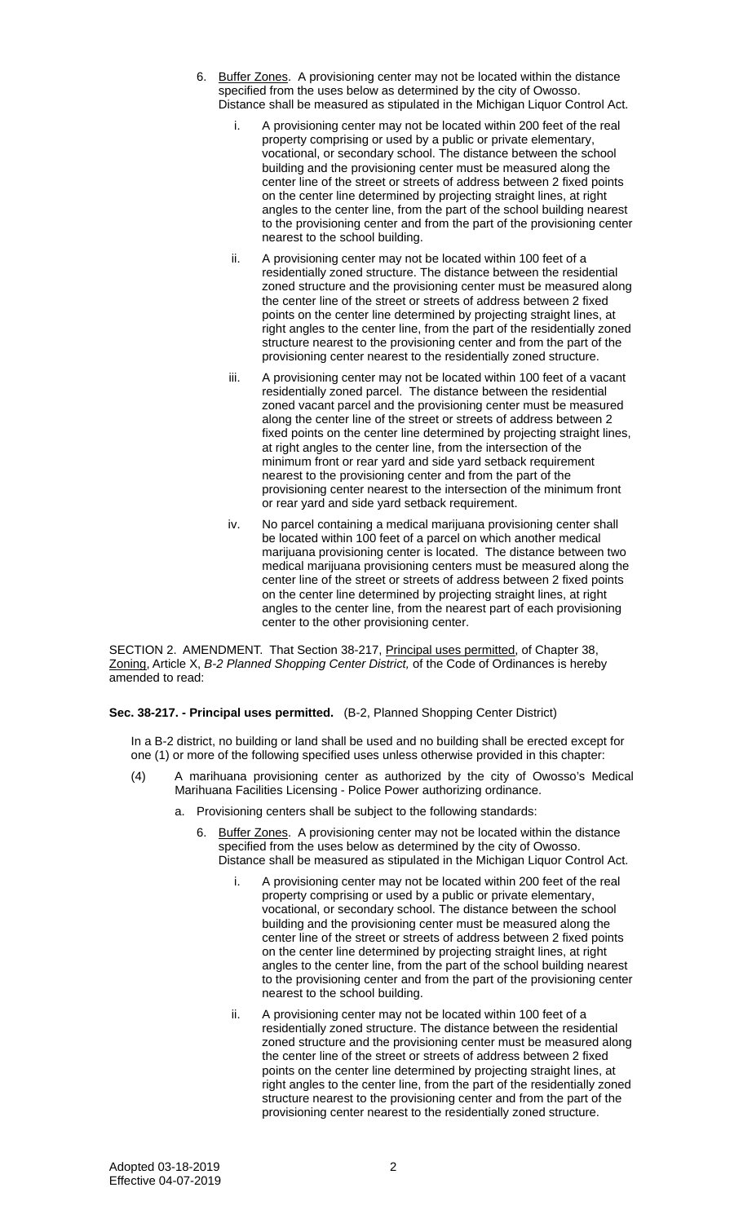- 6. Buffer Zones. A provisioning center may not be located within the distance specified from the uses below as determined by the city of Owosso. Distance shall be measured as stipulated in the Michigan Liquor Control Act.
	- A provisioning center may not be located within 200 feet of the real property comprising or used by a public or private elementary, vocational, or secondary school. The distance between the school building and the provisioning center must be measured along the center line of the street or streets of address between 2 fixed points on the center line determined by projecting straight lines, at right angles to the center line, from the part of the school building nearest to the provisioning center and from the part of the provisioning center nearest to the school building.
	- ii. A provisioning center may not be located within 100 feet of a residentially zoned structure. The distance between the residential zoned structure and the provisioning center must be measured along the center line of the street or streets of address between 2 fixed points on the center line determined by projecting straight lines, at right angles to the center line, from the part of the residentially zoned structure nearest to the provisioning center and from the part of the provisioning center nearest to the residentially zoned structure.
	- iii. A provisioning center may not be located within 100 feet of a vacant residentially zoned parcel. The distance between the residential zoned vacant parcel and the provisioning center must be measured along the center line of the street or streets of address between 2 fixed points on the center line determined by projecting straight lines, at right angles to the center line, from the intersection of the minimum front or rear yard and side yard setback requirement nearest to the provisioning center and from the part of the provisioning center nearest to the intersection of the minimum front or rear yard and side yard setback requirement.
	- iv. No parcel containing a medical marijuana provisioning center shall be located within 100 feet of a parcel on which another medical marijuana provisioning center is located. The distance between two medical marijuana provisioning centers must be measured along the center line of the street or streets of address between 2 fixed points on the center line determined by projecting straight lines, at right angles to the center line, from the nearest part of each provisioning center to the other provisioning center.

SECTION 2. AMENDMENT. That Section 38-217, Principal uses permitted, of Chapter 38, Zoning, Article X, *B-2 Planned Shopping Center District,* of the Code of Ordinances is hereby amended to read:

#### **Sec. 38-217. - Principal uses permitted.** (B-2, Planned Shopping Center District)

In a B-2 district, no building or land shall be used and no building shall be erected except for one (1) or more of the following specified uses unless otherwise provided in this chapter:

- (4) A marihuana provisioning center as authorized by the city of Owosso's Medical Marihuana Facilities Licensing - Police Power authorizing ordinance.
	- a. Provisioning centers shall be subject to the following standards:
		- 6. Buffer Zones. A provisioning center may not be located within the distance specified from the uses below as determined by the city of Owosso. Distance shall be measured as stipulated in the Michigan Liquor Control Act.
			- i. A provisioning center may not be located within 200 feet of the real property comprising or used by a public or private elementary, vocational, or secondary school. The distance between the school building and the provisioning center must be measured along the center line of the street or streets of address between 2 fixed points on the center line determined by projecting straight lines, at right angles to the center line, from the part of the school building nearest to the provisioning center and from the part of the provisioning center nearest to the school building.
			- ii. A provisioning center may not be located within 100 feet of a residentially zoned structure. The distance between the residential zoned structure and the provisioning center must be measured along the center line of the street or streets of address between 2 fixed points on the center line determined by projecting straight lines, at right angles to the center line, from the part of the residentially zoned structure nearest to the provisioning center and from the part of the provisioning center nearest to the residentially zoned structure.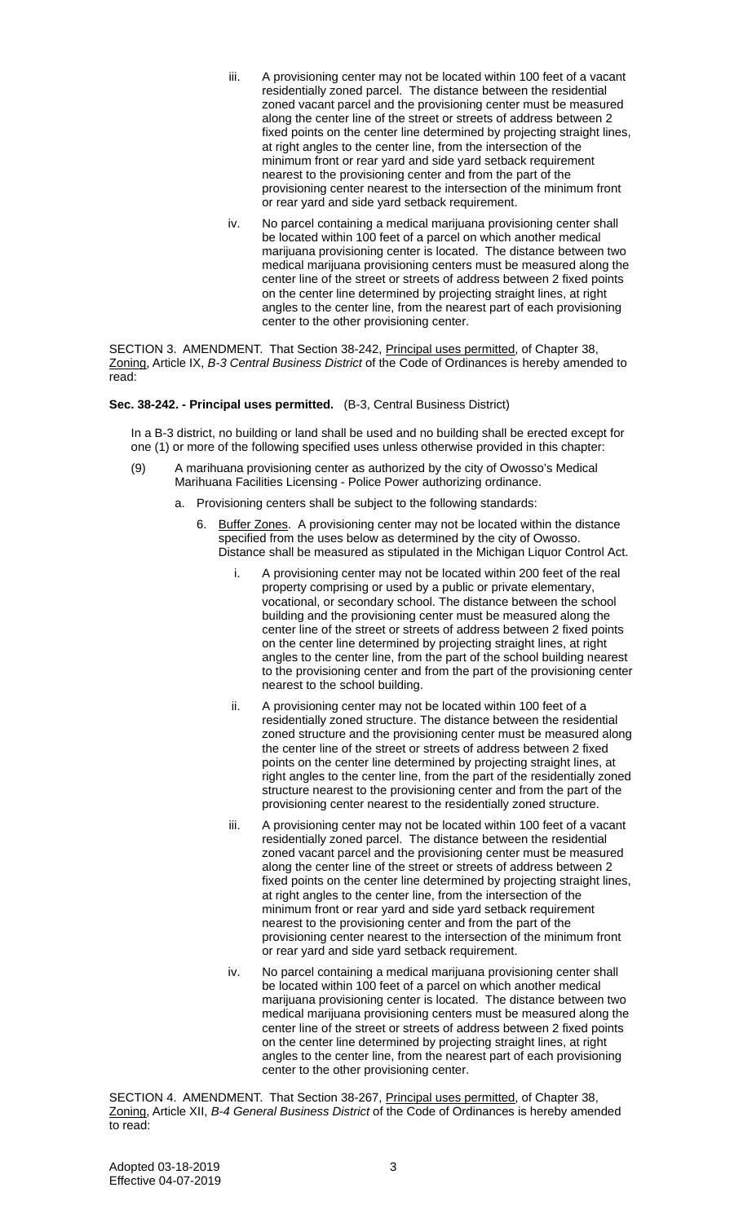- iii. A provisioning center may not be located within 100 feet of a vacant residentially zoned parcel. The distance between the residential zoned vacant parcel and the provisioning center must be measured along the center line of the street or streets of address between 2 fixed points on the center line determined by projecting straight lines, at right angles to the center line, from the intersection of the minimum front or rear yard and side yard setback requirement nearest to the provisioning center and from the part of the provisioning center nearest to the intersection of the minimum front or rear yard and side yard setback requirement.
- iv. No parcel containing a medical marijuana provisioning center shall be located within 100 feet of a parcel on which another medical marijuana provisioning center is located. The distance between two medical marijuana provisioning centers must be measured along the center line of the street or streets of address between 2 fixed points on the center line determined by projecting straight lines, at right angles to the center line, from the nearest part of each provisioning center to the other provisioning center.

SECTION 3. AMENDMENT. That Section 38-242, Principal uses permitted, of Chapter 38, Zoning, Article IX, *B-3 Central Business District* of the Code of Ordinances is hereby amended to read:

## **Sec. 38-242. - Principal uses permitted.** (B-3, Central Business District)

In a B-3 district, no building or land shall be used and no building shall be erected except for one (1) or more of the following specified uses unless otherwise provided in this chapter:

- (9) A marihuana provisioning center as authorized by the city of Owosso's Medical Marihuana Facilities Licensing - Police Power authorizing ordinance.
	- a. Provisioning centers shall be subject to the following standards:
		- 6. Buffer Zones. A provisioning center may not be located within the distance specified from the uses below as determined by the city of Owosso. Distance shall be measured as stipulated in the Michigan Liquor Control Act.
			- i. A provisioning center may not be located within 200 feet of the real property comprising or used by a public or private elementary, vocational, or secondary school. The distance between the school building and the provisioning center must be measured along the center line of the street or streets of address between 2 fixed points on the center line determined by projecting straight lines, at right angles to the center line, from the part of the school building nearest to the provisioning center and from the part of the provisioning center nearest to the school building.
			- ii. A provisioning center may not be located within 100 feet of a residentially zoned structure. The distance between the residential zoned structure and the provisioning center must be measured along the center line of the street or streets of address between 2 fixed points on the center line determined by projecting straight lines, at right angles to the center line, from the part of the residentially zoned structure nearest to the provisioning center and from the part of the provisioning center nearest to the residentially zoned structure.
			- iii. A provisioning center may not be located within 100 feet of a vacant residentially zoned parcel. The distance between the residential zoned vacant parcel and the provisioning center must be measured along the center line of the street or streets of address between 2 fixed points on the center line determined by projecting straight lines, at right angles to the center line, from the intersection of the minimum front or rear yard and side yard setback requirement nearest to the provisioning center and from the part of the provisioning center nearest to the intersection of the minimum front or rear yard and side yard setback requirement.
			- iv. No parcel containing a medical marijuana provisioning center shall be located within 100 feet of a parcel on which another medical marijuana provisioning center is located. The distance between two medical marijuana provisioning centers must be measured along the center line of the street or streets of address between 2 fixed points on the center line determined by projecting straight lines, at right angles to the center line, from the nearest part of each provisioning center to the other provisioning center.

SECTION 4. AMENDMENT. That Section 38-267, Principal uses permitted, of Chapter 38, Zoning, Article XII, *B-4 General Business District* of the Code of Ordinances is hereby amended to read: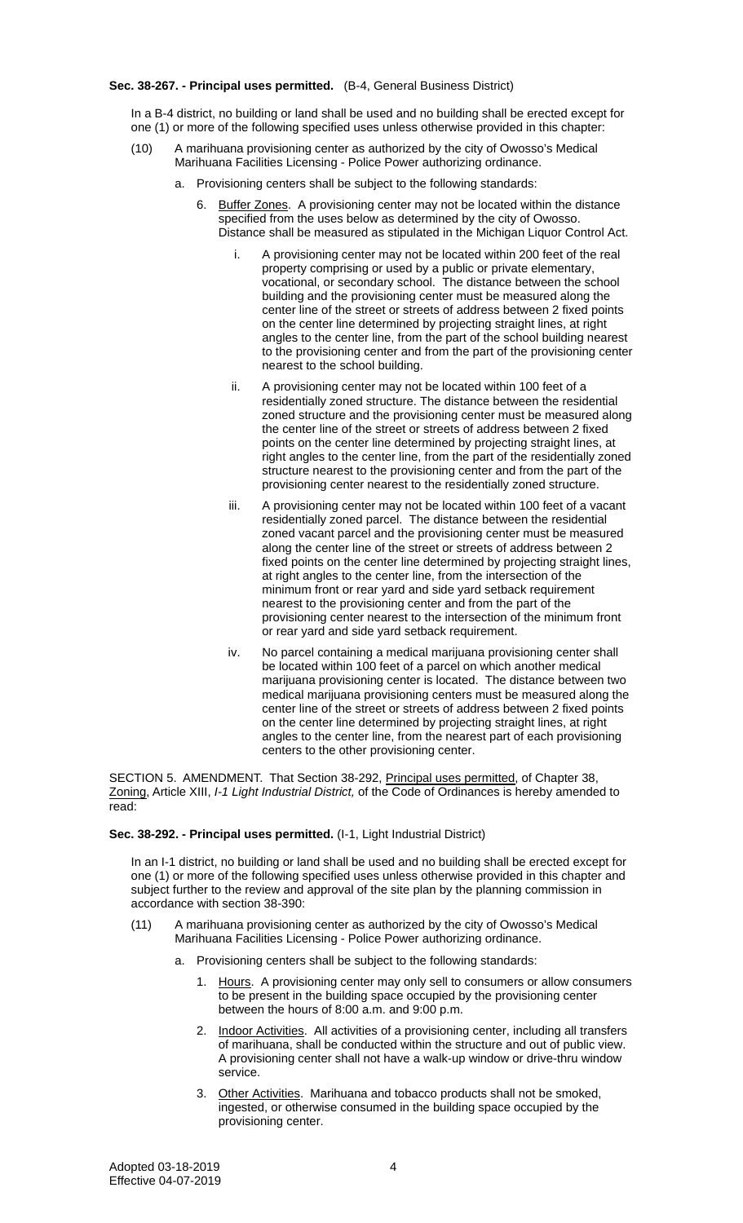## **Sec. 38-267. - Principal uses permitted.** (B-4, General Business District)

In a B-4 district, no building or land shall be used and no building shall be erected except for one (1) or more of the following specified uses unless otherwise provided in this chapter:

- (10) A marihuana provisioning center as authorized by the city of Owosso's Medical Marihuana Facilities Licensing - Police Power authorizing ordinance.
	- a. Provisioning centers shall be subject to the following standards:
		- 6. Buffer Zones. A provisioning center may not be located within the distance specified from the uses below as determined by the city of Owosso. Distance shall be measured as stipulated in the Michigan Liquor Control Act.
			- A provisioning center may not be located within 200 feet of the real property comprising or used by a public or private elementary, vocational, or secondary school. The distance between the school building and the provisioning center must be measured along the center line of the street or streets of address between 2 fixed points on the center line determined by projecting straight lines, at right angles to the center line, from the part of the school building nearest to the provisioning center and from the part of the provisioning center nearest to the school building.
			- ii. A provisioning center may not be located within 100 feet of a residentially zoned structure. The distance between the residential zoned structure and the provisioning center must be measured along the center line of the street or streets of address between 2 fixed points on the center line determined by projecting straight lines, at right angles to the center line, from the part of the residentially zoned structure nearest to the provisioning center and from the part of the provisioning center nearest to the residentially zoned structure.
			- iii. A provisioning center may not be located within 100 feet of a vacant residentially zoned parcel. The distance between the residential zoned vacant parcel and the provisioning center must be measured along the center line of the street or streets of address between 2 fixed points on the center line determined by projecting straight lines, at right angles to the center line, from the intersection of the minimum front or rear yard and side yard setback requirement nearest to the provisioning center and from the part of the provisioning center nearest to the intersection of the minimum front or rear yard and side yard setback requirement.
			- iv. No parcel containing a medical marijuana provisioning center shall be located within 100 feet of a parcel on which another medical marijuana provisioning center is located. The distance between two medical marijuana provisioning centers must be measured along the center line of the street or streets of address between 2 fixed points on the center line determined by projecting straight lines, at right angles to the center line, from the nearest part of each provisioning centers to the other provisioning center.

SECTION 5. AMENDMENT. That Section 38-292, Principal uses permitted, of Chapter 38, Zoning, Article XIII, *I-1 Light Industrial District,* of the Code of Ordinances is hereby amended to read:

### **Sec. 38-292. - Principal uses permitted.** (I-1, Light Industrial District)

In an I-1 district, no building or land shall be used and no building shall be erected except for one (1) or more of the following specified uses unless otherwise provided in this chapter and subject further to the review and approval of the site plan by the planning commission in accordance with section 38-390:

- (11) A marihuana provisioning center as authorized by the city of Owosso's Medical Marihuana Facilities Licensing - Police Power authorizing ordinance.
	- a. Provisioning centers shall be subject to the following standards:
		- 1. Hours. A provisioning center may only sell to consumers or allow consumers to be present in the building space occupied by the provisioning center between the hours of 8:00 a.m. and 9:00 p.m.
		- 2. Indoor Activities. All activities of a provisioning center, including all transfers of marihuana, shall be conducted within the structure and out of public view. A provisioning center shall not have a walk-up window or drive-thru window service.
		- 3. Other Activities. Marihuana and tobacco products shall not be smoked, ingested, or otherwise consumed in the building space occupied by the provisioning center.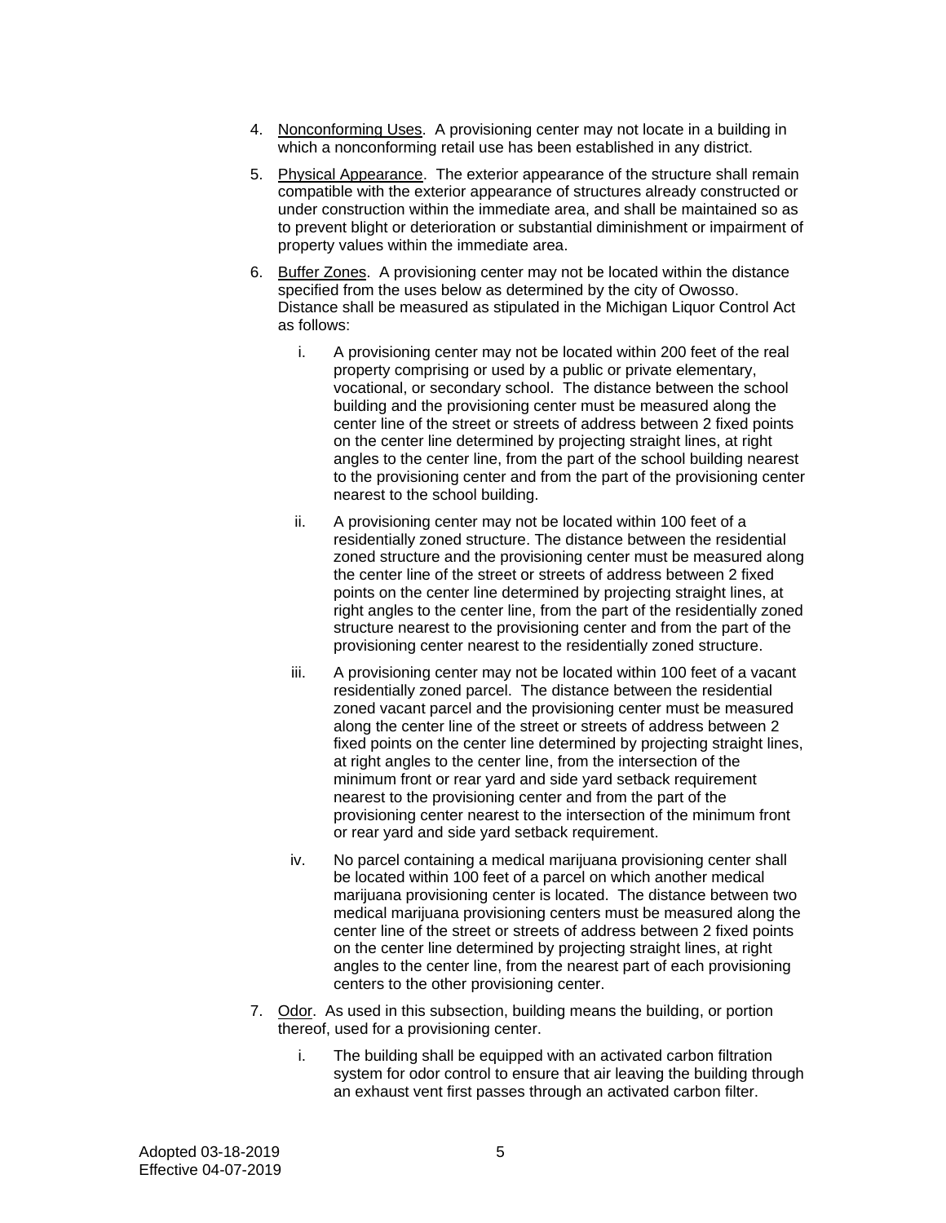- 4. Nonconforming Uses. A provisioning center may not locate in a building in which a nonconforming retail use has been established in any district.
- 5. Physical Appearance. The exterior appearance of the structure shall remain compatible with the exterior appearance of structures already constructed or under construction within the immediate area, and shall be maintained so as to prevent blight or deterioration or substantial diminishment or impairment of property values within the immediate area.
- 6. Buffer Zones. A provisioning center may not be located within the distance specified from the uses below as determined by the city of Owosso. Distance shall be measured as stipulated in the Michigan Liquor Control Act as follows:
	- i. A provisioning center may not be located within 200 feet of the real property comprising or used by a public or private elementary, vocational, or secondary school. The distance between the school building and the provisioning center must be measured along the center line of the street or streets of address between 2 fixed points on the center line determined by projecting straight lines, at right angles to the center line, from the part of the school building nearest to the provisioning center and from the part of the provisioning center nearest to the school building.
	- ii. A provisioning center may not be located within 100 feet of a residentially zoned structure. The distance between the residential zoned structure and the provisioning center must be measured along the center line of the street or streets of address between 2 fixed points on the center line determined by projecting straight lines, at right angles to the center line, from the part of the residentially zoned structure nearest to the provisioning center and from the part of the provisioning center nearest to the residentially zoned structure.
	- iii. A provisioning center may not be located within 100 feet of a vacant residentially zoned parcel. The distance between the residential zoned vacant parcel and the provisioning center must be measured along the center line of the street or streets of address between 2 fixed points on the center line determined by projecting straight lines, at right angles to the center line, from the intersection of the minimum front or rear yard and side yard setback requirement nearest to the provisioning center and from the part of the provisioning center nearest to the intersection of the minimum front or rear yard and side yard setback requirement.
	- iv. No parcel containing a medical marijuana provisioning center shall be located within 100 feet of a parcel on which another medical marijuana provisioning center is located. The distance between two medical marijuana provisioning centers must be measured along the center line of the street or streets of address between 2 fixed points on the center line determined by projecting straight lines, at right angles to the center line, from the nearest part of each provisioning centers to the other provisioning center.
- 7. Odor. As used in this subsection, building means the building, or portion thereof, used for a provisioning center.
	- i. The building shall be equipped with an activated carbon filtration system for odor control to ensure that air leaving the building through an exhaust vent first passes through an activated carbon filter.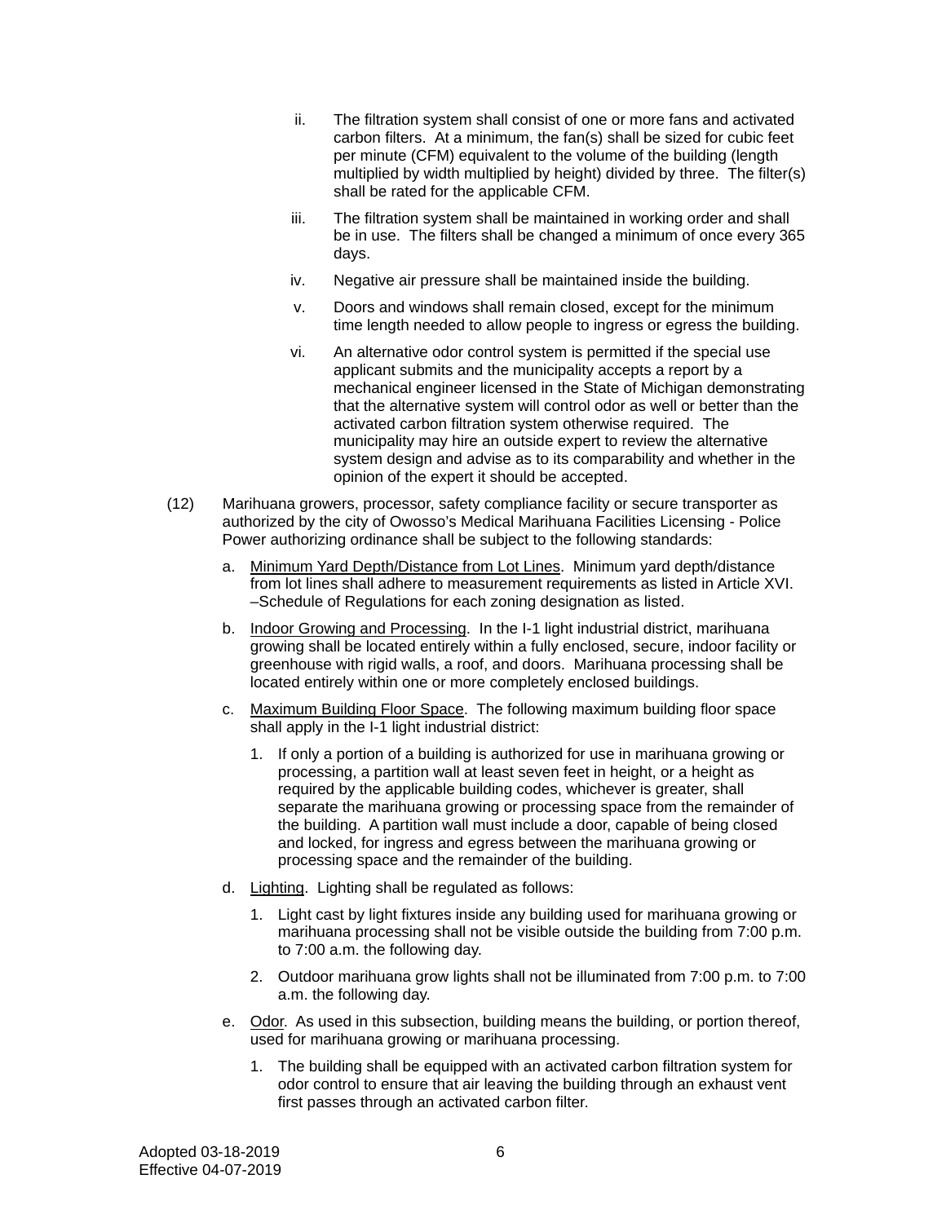- ii. The filtration system shall consist of one or more fans and activated carbon filters. At a minimum, the fan(s) shall be sized for cubic feet per minute (CFM) equivalent to the volume of the building (length multiplied by width multiplied by height) divided by three. The filter(s) shall be rated for the applicable CFM.
- iii. The filtration system shall be maintained in working order and shall be in use. The filters shall be changed a minimum of once every 365 days.
- iv. Negative air pressure shall be maintained inside the building.
- v. Doors and windows shall remain closed, except for the minimum time length needed to allow people to ingress or egress the building.
- vi. An alternative odor control system is permitted if the special use applicant submits and the municipality accepts a report by a mechanical engineer licensed in the State of Michigan demonstrating that the alternative system will control odor as well or better than the activated carbon filtration system otherwise required. The municipality may hire an outside expert to review the alternative system design and advise as to its comparability and whether in the opinion of the expert it should be accepted.
- (12) Marihuana growers, processor, safety compliance facility or secure transporter as authorized by the city of Owosso's Medical Marihuana Facilities Licensing - Police Power authorizing ordinance shall be subject to the following standards:
	- a. Minimum Yard Depth/Distance from Lot Lines. Minimum yard depth/distance from lot lines shall adhere to measurement requirements as listed in Article XVI. –Schedule of Regulations for each zoning designation as listed.
	- b. Indoor Growing and Processing. In the I-1 light industrial district, marihuana growing shall be located entirely within a fully enclosed, secure, indoor facility or greenhouse with rigid walls, a roof, and doors. Marihuana processing shall be located entirely within one or more completely enclosed buildings.
	- c. Maximum Building Floor Space. The following maximum building floor space shall apply in the I-1 light industrial district:
		- 1. If only a portion of a building is authorized for use in marihuana growing or processing, a partition wall at least seven feet in height, or a height as required by the applicable building codes, whichever is greater, shall separate the marihuana growing or processing space from the remainder of the building. A partition wall must include a door, capable of being closed and locked, for ingress and egress between the marihuana growing or processing space and the remainder of the building.
	- d. Lighting. Lighting shall be regulated as follows:
		- 1. Light cast by light fixtures inside any building used for marihuana growing or marihuana processing shall not be visible outside the building from 7:00 p.m. to 7:00 a.m. the following day.
		- 2. Outdoor marihuana grow lights shall not be illuminated from 7:00 p.m. to 7:00 a.m. the following day.
	- e. Odor. As used in this subsection, building means the building, or portion thereof, used for marihuana growing or marihuana processing.
		- 1. The building shall be equipped with an activated carbon filtration system for odor control to ensure that air leaving the building through an exhaust vent first passes through an activated carbon filter.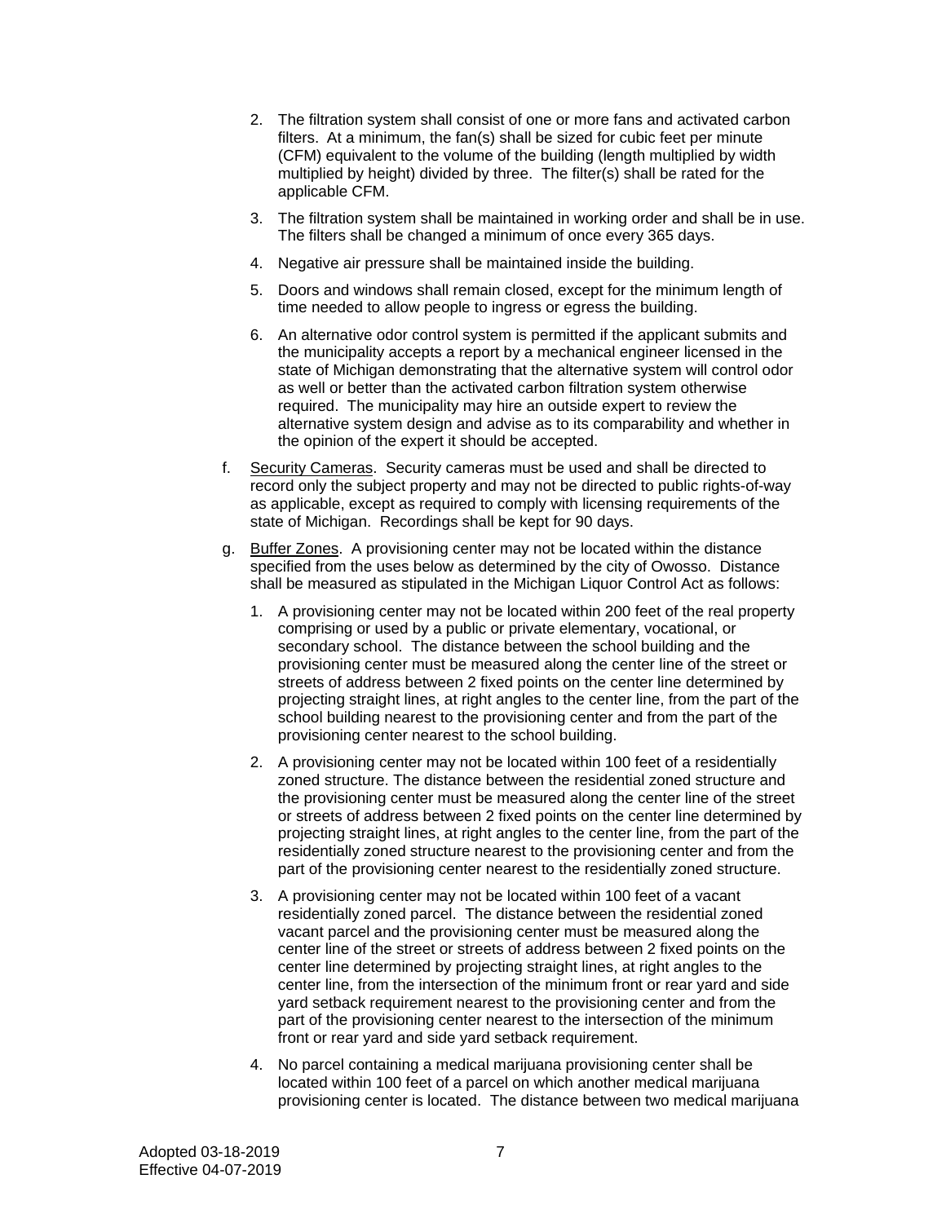- 2. The filtration system shall consist of one or more fans and activated carbon filters. At a minimum, the fan(s) shall be sized for cubic feet per minute (CFM) equivalent to the volume of the building (length multiplied by width multiplied by height) divided by three. The filter(s) shall be rated for the applicable CFM.
- 3. The filtration system shall be maintained in working order and shall be in use. The filters shall be changed a minimum of once every 365 days.
- 4. Negative air pressure shall be maintained inside the building.
- 5. Doors and windows shall remain closed, except for the minimum length of time needed to allow people to ingress or egress the building.
- 6. An alternative odor control system is permitted if the applicant submits and the municipality accepts a report by a mechanical engineer licensed in the state of Michigan demonstrating that the alternative system will control odor as well or better than the activated carbon filtration system otherwise required. The municipality may hire an outside expert to review the alternative system design and advise as to its comparability and whether in the opinion of the expert it should be accepted.
- f. Security Cameras. Security cameras must be used and shall be directed to record only the subject property and may not be directed to public rights-of-way as applicable, except as required to comply with licensing requirements of the state of Michigan. Recordings shall be kept for 90 days.
- g. Buffer Zones. A provisioning center may not be located within the distance specified from the uses below as determined by the city of Owosso. Distance shall be measured as stipulated in the Michigan Liquor Control Act as follows:
	- 1. A provisioning center may not be located within 200 feet of the real property comprising or used by a public or private elementary, vocational, or secondary school. The distance between the school building and the provisioning center must be measured along the center line of the street or streets of address between 2 fixed points on the center line determined by projecting straight lines, at right angles to the center line, from the part of the school building nearest to the provisioning center and from the part of the provisioning center nearest to the school building.
	- 2. A provisioning center may not be located within 100 feet of a residentially zoned structure. The distance between the residential zoned structure and the provisioning center must be measured along the center line of the street or streets of address between 2 fixed points on the center line determined by projecting straight lines, at right angles to the center line, from the part of the residentially zoned structure nearest to the provisioning center and from the part of the provisioning center nearest to the residentially zoned structure.
	- 3. A provisioning center may not be located within 100 feet of a vacant residentially zoned parcel. The distance between the residential zoned vacant parcel and the provisioning center must be measured along the center line of the street or streets of address between 2 fixed points on the center line determined by projecting straight lines, at right angles to the center line, from the intersection of the minimum front or rear yard and side yard setback requirement nearest to the provisioning center and from the part of the provisioning center nearest to the intersection of the minimum front or rear yard and side yard setback requirement.
	- 4. No parcel containing a medical marijuana provisioning center shall be located within 100 feet of a parcel on which another medical marijuana provisioning center is located. The distance between two medical marijuana